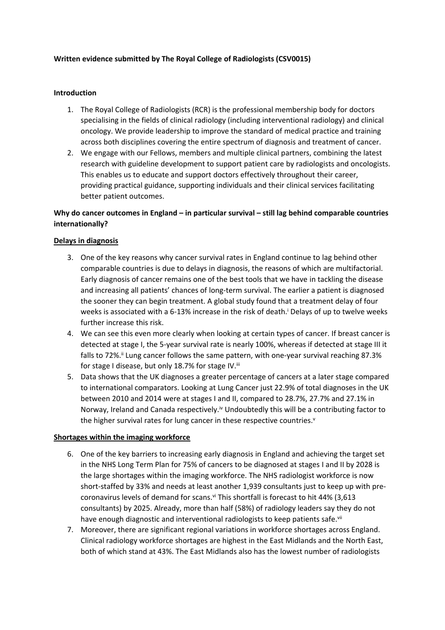# **Written evidence submitted by The Royal College of Radiologists (CSV0015)**

## **Introduction**

- 1. The Royal College of Radiologists (RCR) is the professional membership body for doctors specialising in the fields of clinical radiology (including interventional radiology) and clinical oncology. We provide leadership to improve the standard of medical practice and training across both disciplines covering the entire spectrum of diagnosis and treatment of cancer.
- 2. We engage with our Fellows, members and multiple clinical partners, combining the latest research with guideline development to support patient care by radiologists and oncologists. This enables us to educate and support doctors effectively throughout their career, providing practical guidance, supporting individuals and their clinical services facilitating better patient outcomes.

# **Why do cancer outcomes in England – in particular survival – still lag behind comparable countries internationally?**

# **Delays in diagnosis**

- 3. One of the key reasons why cancer survival rates in England continue to lag behind other comparable countries is due to delays in diagnosis, the reasons of which are multifactorial. Early diagnosis of cancer remains one of the best tools that we have in tackling the disease and increasing all patients' chances of long-term survival. The earlier a patient is diagnosed the sooner they can begin treatment. A global study found that a treatment delay of four weeks is associated with a 6-13% increase in the risk of death.<sup>i</sup> Delays of up to twelve weeks further increase this risk.
- 4. We can see this even more clearly when looking at certain types of cancer. If breast cancer is detected at stage I, the 5-year survival rate is nearly 100%, whereas if detected at stage III it falls to 72%.<sup>ii</sup> Lung cancer follows the same pattern, with one-year survival reaching 87.3% for stage I disease, but only 18.7% for stage IV.<sup>iii</sup>
- 5. Data shows that the UK diagnoses a greater percentage of cancers at a later stage compared to international comparators. Looking at Lung Cancer just 22.9% of total diagnoses in the UK between 2010 and 2014 were at stages I and II, compared to 28.7%, 27.7% and 27.1% in Norway, Ireland and Canada respectively.<sup>iv</sup> Undoubtedly this will be a contributing factor to the higher survival rates for lung cancer in these respective countries.<sup>v</sup>

### **Shortages within the imaging workforce**

- 6. One of the key barriers to increasing early diagnosis in England and achieving the target set in the NHS Long Term Plan for 75% of cancers to be diagnosed at stages I and II by 2028 is the large shortages within the imaging workforce. The NHS radiologist workforce is now short-staffed by 33% and needs at least another 1,939 consultants just to keep up with precoronavirus levels of demand for scans.<sup>vi</sup> This shortfall is forecast to hit 44% (3,613 consultants) by 2025. Already, more than half (58%) of radiology leaders say they do not have enough diagnostic and interventional radiologists to keep patients safe.vii
- 7. Moreover, there are significant regional variations in workforce shortages across England. Clinical radiology workforce shortages are highest in the East Midlands and the North East, both of which stand at 43%. The East Midlands also has the lowest number of radiologists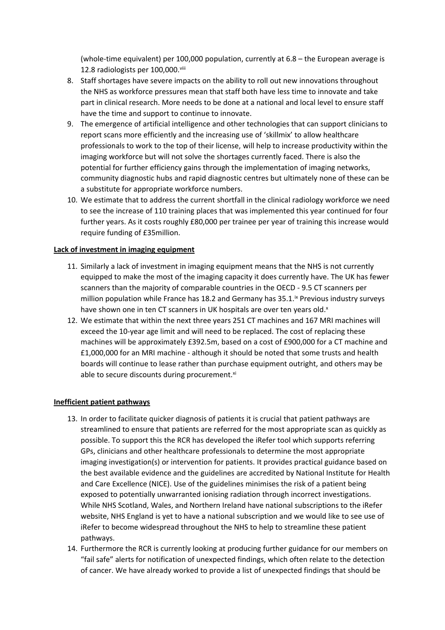(whole-time equivalent) per 100,000 population, currently at 6.8 – the European average is 12.8 radiologists per 100,000.viii

- 8. Staff shortages have severe impacts on the ability to roll out new innovations throughout the NHS as workforce pressures mean that staff both have less time to innovate and take part in clinical research. More needs to be done at a national and local level to ensure staff have the time and support to continue to innovate.
- 9. The emergence of artificial intelligence and other technologies that can support clinicians to report scans more efficiently and the increasing use of 'skillmix' to allow healthcare professionals to work to the top of their license, will help to increase productivity within the imaging workforce but will not solve the shortages currently faced. There is also the potential for further efficiency gains through the implementation of imaging networks, community diagnostic hubs and rapid diagnostic centres but ultimately none of these can be a substitute for appropriate workforce numbers.
- 10. We estimate that to address the current shortfall in the clinical radiology workforce we need to see the increase of 110 training places that was implemented this year continued for four further years. As it costs roughly £80,000 per trainee per year of training this increase would require funding of £35million.

# **Lack of investment in imaging equipment**

- 11. Similarly a lack of investment in imaging equipment means that the NHS is not currently equipped to make the most of the imaging capacity it does currently have. The UK has fewer scanners than the majority of comparable countries in the OECD - 9.5 CT scanners per million population while France has 18.2 and Germany has 35.1.<sup>ix</sup> Previous industry surveys have shown one in ten CT scanners in UK hospitals are over ten years old.<sup>x</sup>
- 12. We estimate that within the next three years 251 CT machines and 167 MRI machines will exceed the 10-year age limit and will need to be replaced. The cost of replacing these machines will be approximately £392.5m, based on a cost of £900,000 for a CT machine and £1,000,000 for an MRI machine - although it should be noted that some trusts and health boards will continue to lease rather than purchase equipment outright, and others may be able to secure discounts during procurement.<sup>xi</sup>

### **Inefficient patient pathways**

- 13. In order to facilitate quicker diagnosis of patients it is crucial that patient pathways are streamlined to ensure that patients are referred for the most appropriate scan as quickly as possible. To support this the RCR has developed the iRefer tool which supports referring GPs, clinicians and other healthcare professionals to determine the most appropriate imaging investigation(s) or intervention for patients. It provides practical guidance based on the best available evidence and the guidelines are accredited by National Institute for Health and Care Excellence (NICE). Use of the guidelines minimises the risk of a patient being exposed to potentially unwarranted ionising radiation through incorrect investigations. While NHS Scotland, Wales, and Northern Ireland have national subscriptions to the iRefer website, NHS England is yet to have a national subscription and we would like to see use of iRefer to become widespread throughout the NHS to help to streamline these patient pathways.
- 14. Furthermore the RCR is currently looking at producing further guidance for our members on "fail safe" alerts for notification of unexpected findings, which often relate to the detection of cancer. We have already worked to provide a list of unexpected findings that should be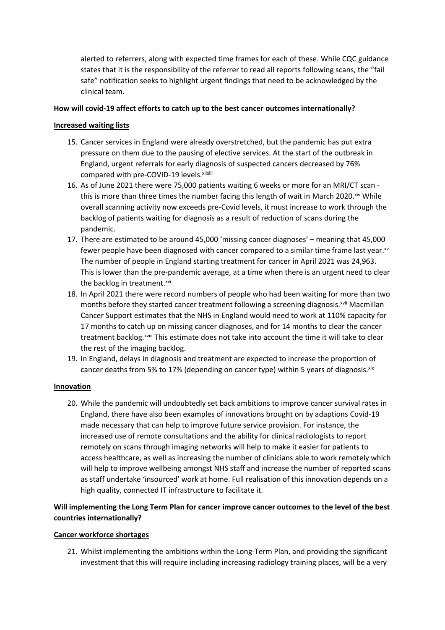alerted to referrers, along with expected time frames for each of these. While CQC guidance states that it is the responsibility of the referrer to read all reports following scans, the "fail safe" notification seeks to highlight urgent findings that need to be acknowledged by the clinical team.

# **How will covid-19 affect efforts to catch up to the best cancer outcomes internationally?**

# **Increased waiting lists**

- 15. Cancer services in England were already overstretched, but the pandemic has put extra pressure on them due to the pausing of elective services. At the start of the outbreak in England, urgent referrals for early diagnosis of suspected cancers decreased by 76% compared with pre-COVID-19 levels. xiixiii
- 16. As of June 2021 there were 75,000 patients waiting 6 weeks or more for an MRI/CT scan this is more than three times the number facing this length of wait in March 2020.<sup>xiv</sup> While overall scanning activity now exceeds pre-Covid levels, it must increase to work through the backlog of patients waiting for diagnosis as a result of reduction of scans during the pandemic.
- 17. There are estimated to be around 45,000 'missing cancer diagnoses' meaning that 45,000 fewer people have been diagnosed with cancer compared to a similar time frame last year. $^{x}$ The number of people in England starting treatment for cancer in April 2021 was 24,963. This is lower than the pre-pandemic average, at a time when there is an urgent need to clear the backlog in treatment.<sup>xvi</sup>
- 18. In April 2021 there were record numbers of people who had been waiting for more than two months before they started cancer treatment following a screening diagnosis.<sup>xvii</sup> Macmillan Cancer Support estimates that the NHS in England would need to work at 110% capacity for 17 months to catch up on missing cancer diagnoses, and for 14 months to clear the cancer treatment backlog.xviii This estimate does not take into account the time it will take to clear the rest of the imaging backlog.
- 19. In England, delays in diagnosis and treatment are expected to increase the proportion of cancer deaths from 5% to 17% (depending on cancer type) within 5 years of diagnosis. $x^{ix}$

### **Innovation**

20. While the pandemic will undoubtedly set back ambitions to improve cancer survival rates in England, there have also been examples of innovations brought on by adaptions Covid-19 made necessary that can help to improve future service provision. For instance, the increased use of remote consultations and the ability for clinical radiologists to report remotely on scans through imaging networks will help to make it easier for patients to access healthcare, as well as increasing the number of clinicians able to work remotely which will help to improve wellbeing amongst NHS staff and increase the number of reported scans as staff undertake 'insourced' work at home. Full realisation of this innovation depends on a high quality, connected IT infrastructure to facilitate it.

# **Will implementing the Long Term Plan for cancer improve cancer outcomes to the level of the best countries internationally?**

### **Cancer workforce shortages**

21. Whilst implementing the ambitions within the Long-Term Plan, and providing the significant investment that this will require including increasing radiology training places, will be a very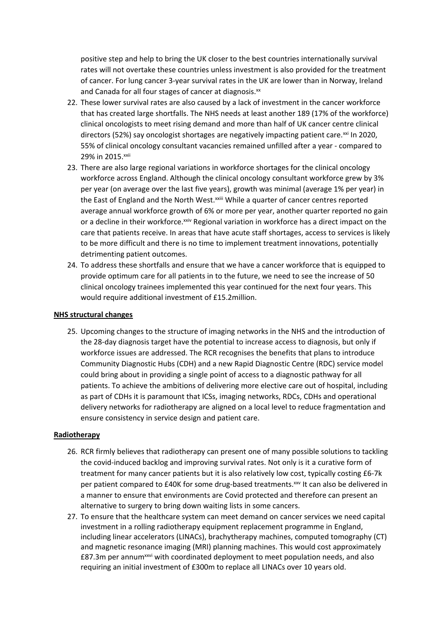positive step and help to bring the UK closer to the best countries internationally survival rates will not overtake these countries unless investment is also provided for the treatment of cancer. For lung cancer 3-year survival rates in the UK are lower than in Norway, Ireland and Canada for all four stages of cancer at diagnosis.<sup>xx</sup>

- 22. These lower survival rates are also caused by a lack of investment in the cancer workforce that has created large shortfalls. The NHS needs at least another 189 (17% of the workforce) clinical oncologists to meet rising demand and more than half of UK cancer centre clinical directors (52%) say oncologist shortages are negatively impacting patient care.<sup>xxi</sup> In 2020, 55% of clinical oncology consultant vacancies remained unfilled after a year - compared to 29% in 2015.xxii
- 23. There are also large regional variations in workforce shortages for the clinical oncology workforce across England. Although the clinical oncology consultant workforce grew by 3% per year (on average over the last five years), growth was minimal (average 1% per year) in the East of England and the North West.<sup>xxiii</sup> While a quarter of cancer centres reported average annual workforce growth of 6% or more per year, another quarter reported no gain or a decline in their workforce.<sup>xxiv</sup> Regional variation in workforce has a direct impact on the care that patients receive. In areas that have acute staff shortages, access to services is likely to be more difficult and there is no time to implement treatment innovations, potentially detrimenting patient outcomes.
- 24. To address these shortfalls and ensure that we have a cancer workforce that is equipped to provide optimum care for all patients in to the future, we need to see the increase of 50 clinical oncology trainees implemented this year continued for the next four years. This would require additional investment of £15.2million.

#### **NHS structural changes**

25. Upcoming changes to the structure of imaging networks in the NHS and the introduction of the 28-day diagnosis target have the potential to increase access to diagnosis, but only if workforce issues are addressed. The RCR recognises the benefits that plans to introduce Community Diagnostic Hubs (CDH) and a new Rapid Diagnostic Centre (RDC) service model could bring about in providing a single point of access to a diagnostic pathway for all patients. To achieve the ambitions of delivering more elective care out of hospital, including as part of CDHs it is paramount that ICSs, imaging networks, RDCs, CDHs and operational delivery networks for radiotherapy are aligned on a local level to reduce fragmentation and ensure consistency in service design and patient care.

### **Radiotherapy**

- 26. RCR firmly believes that radiotherapy can present one of many possible solutions to tackling the covid-induced backlog and improving survival rates. Not only is it a curative form of treatment for many cancer patients but it is also relatively low cost, typically costing £6-7k per patient compared to £40K for some drug-based treatments.<sup>xxv</sup> It can also be delivered in a manner to ensure that environments are Covid protected and therefore can present an alternative to surgery to bring down waiting lists in some cancers.
- 27. To ensure that the healthcare system can meet demand on cancer services we need capital investment in a rolling radiotherapy equipment replacement programme in England, including linear accelerators (LINACs), brachytherapy machines, computed tomography (CT) and magnetic resonance imaging (MRI) planning machines. This would cost approximately £87.3m per annum<sup>xxvi</sup> with coordinated deployment to meet population needs, and also requiring an initial investment of £300m to replace all LINACs over 10 years old.